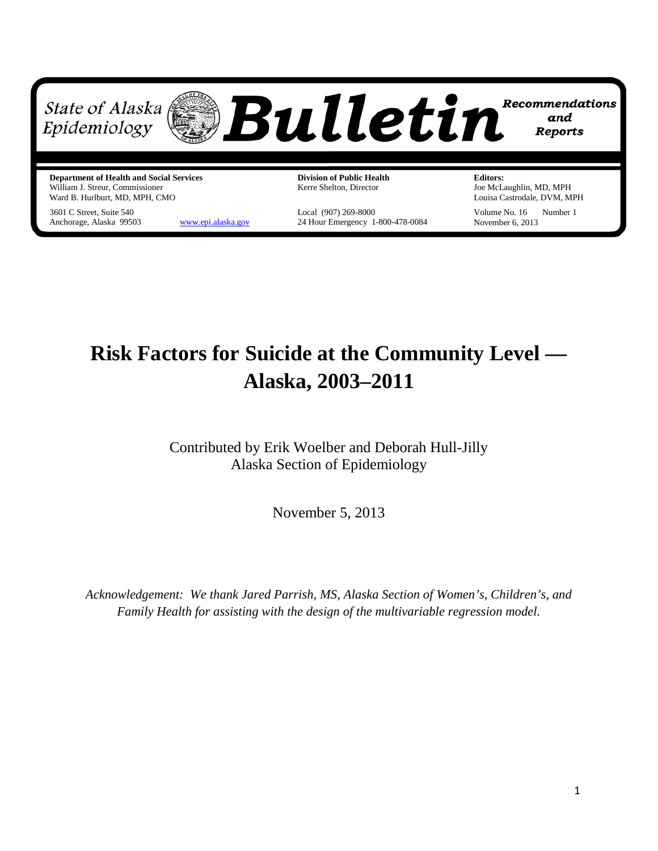

**Department of Health and Social Services** William J. Streur, Commissioner Ward B. Hurlburt, MD, MPH, CMO

3601 C Street, Suite 540 Anchorage, Alaska 99503 [www.epi.alaska.gov](http://www.epi.alaska.gov/)

**Division of Public Health** Kerre Shelton, Director

Local (907) 269-8000 24 Hour Emergency 1-800-478-0084 **Editors:** Joe McLaughlin, MD, MPH Louisa Castrodale, DVM, MPH

Volume No. 16 Number 1 November 6, 2013

# **Risk Factors for Suicide at the Community Level — Alaska, 2003–2011**

Contributed by Erik Woelber and Deborah Hull-Jilly Alaska Section of Epidemiology

November 5, 2013

*Acknowledgement: We thank Jared Parrish, MS, Alaska Section of Women's, Children's, and Family Health for assisting with the design of the multivariable regression model.*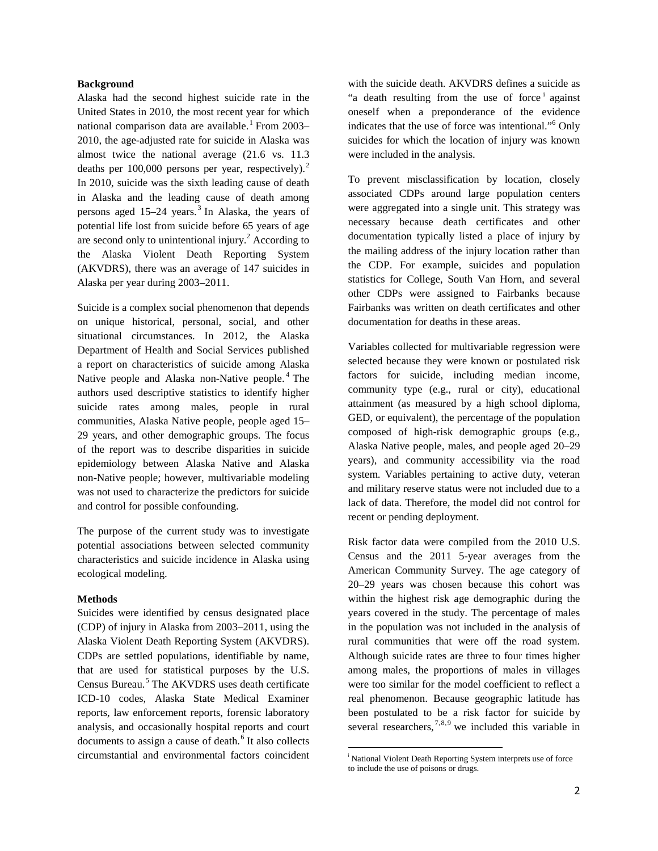# **Background**

Alaska had the second highest suicide rate in the United States in 2010, the most recent year for which national comparison data are available.<sup>[1](#page-5-0)</sup> From 2003-2010, the age-adjusted rate for suicide in Alaska was almost twice the national average (21.6 vs. 11.3 deaths per  $100,000$  persons per year, respectively).<sup>[2](#page-5-1)</sup> In 2010, suicide was the sixth leading cause of death in Alaska and the leading cause of death among persons aged 15–24 years. [3](#page-5-2) In Alaska, the years of potential life lost from suicide before 65 years of age are second only to unintentional injury.<sup>2</sup> According to the Alaska Violent Death Reporting System (AKVDRS), there was an average of 147 suicides in Alaska per year during 2003–2011.

Suicide is a complex social phenomenon that depends on unique historical, personal, social, and other situational circumstances. In 2012, the Alaska Department of Health and Social Services published a report on characteristics of suicide among Alaska Native people and Alaska non-Native people. [4](#page-5-3) The authors used descriptive statistics to identify higher suicide rates among males, people in rural communities, Alaska Native people, people aged 15– 29 years, and other demographic groups. The focus of the report was to describe disparities in suicide epidemiology between Alaska Native and Alaska non-Native people; however, multivariable modeling was not used to characterize the predictors for suicide and control for possible confounding.

The purpose of the current study was to investigate potential associations between selected community characteristics and suicide incidence in Alaska using ecological modeling.

#### **Methods**

<span id="page-1-0"></span>Suicides were identified by census designated place (CDP) of injury in Alaska from 2003–2011, using the Alaska Violent Death Reporting System (AKVDRS). CDPs are settled populations, identifiable by name, that are used for statistical purposes by the U.S. Census Bureau.[5](#page-5-4) The AKVDRS uses death certificate ICD-10 codes, Alaska State Medical Examiner reports, law enforcement reports, forensic laboratory analysis, and occasionally hospital reports and court documents to assign a cause of death. $<sup>6</sup>$  $<sup>6</sup>$  $<sup>6</sup>$  It also collects</sup> circumstantial and environmental factors coincident with the suicide death. AKVDRS defines a suicide as "a death result[i](#page-1-0)ng from the use of force  $\alpha$  against oneself when a preponderance of the evidence indicates that the use of force was intentional."<sup>6</sup> Only suicides for which the location of injury was known were included in the analysis.

To prevent misclassification by location, closely associated CDPs around large population centers were aggregated into a single unit. This strategy was necessary because death certificates and other documentation typically listed a place of injury by the mailing address of the injury location rather than the CDP. For example, suicides and population statistics for College, South Van Horn, and several other CDPs were assigned to Fairbanks because Fairbanks was written on death certificates and other documentation for deaths in these areas.

Variables collected for multivariable regression were selected because they were known or postulated risk factors for suicide, including median income, community type (e.g., rural or city), educational attainment (as measured by a high school diploma, GED, or equivalent), the percentage of the population composed of high-risk demographic groups (e.g., Alaska Native people, males, and people aged 20–29 years), and community accessibility via the road system. Variables pertaining to active duty, veteran and military reserve status were not included due to a lack of data. Therefore, the model did not control for recent or pending deployment.

Risk factor data were compiled from the 2010 U.S. Census and the 2011 5-year averages from the American Community Survey. The age category of 20–29 years was chosen because this cohort was within the highest risk age demographic during the years covered in the study. The percentage of males in the population was not included in the analysis of rural communities that were off the road system. Although suicide rates are three to four times higher among males, the proportions of males in villages were too similar for the model coefficient to reflect a real phenomenon. Because geographic latitude has been postulated to be a risk factor for suicide by several researchers,  $7,8,9$  $7,8,9$  $7,8,9$  $7,8,9$  $7,8,9$  we included this variable in

l

i National Violent Death Reporting System interprets use of force to include the use of poisons or drugs.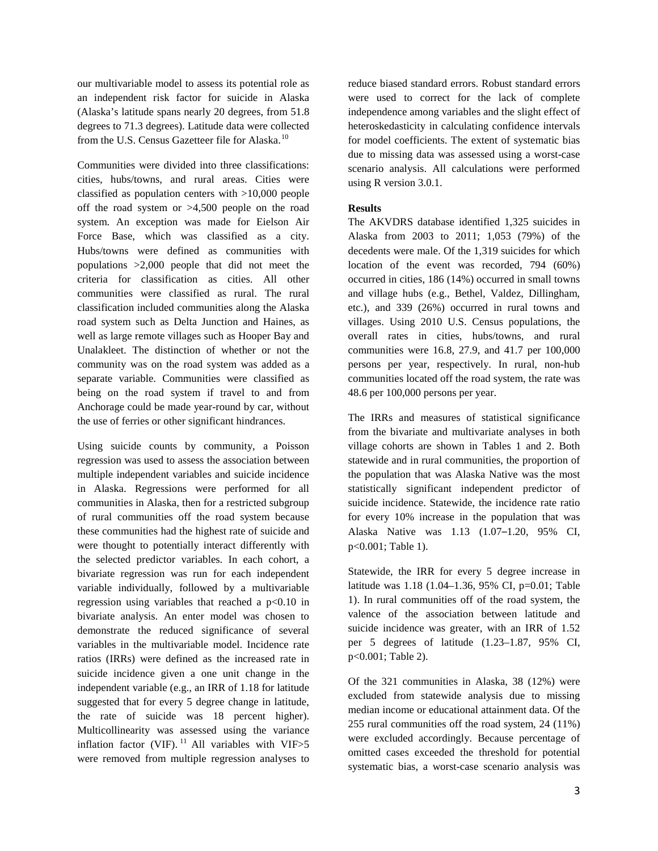our multivariable model to assess its potential role as an independent risk factor for suicide in Alaska (Alaska's latitude spans nearly 20 degrees, from 51.8 degrees to 71.3 degrees). Latitude data were collected from the U.S. Census Gazetteer file for Alaska.<sup>[10](#page-5-9)</sup>

Communities were divided into three classifications: cities, hubs/towns, and rural areas. Cities were classified as population centers with >10,000 people off the road system or >4,500 people on the road system. An exception was made for Eielson Air Force Base, which was classified as a city. Hubs/towns were defined as communities with populations >2,000 people that did not meet the criteria for classification as cities. All other communities were classified as rural. The rural classification included communities along the Alaska road system such as Delta Junction and Haines, as well as large remote villages such as Hooper Bay and Unalakleet. The distinction of whether or not the community was on the road system was added as a separate variable. Communities were classified as being on the road system if travel to and from Anchorage could be made year-round by car, without the use of ferries or other significant hindrances.

Using suicide counts by community, a Poisson regression was used to assess the association between multiple independent variables and suicide incidence in Alaska. Regressions were performed for all communities in Alaska, then for a restricted subgroup of rural communities off the road system because these communities had the highest rate of suicide and were thought to potentially interact differently with the selected predictor variables. In each cohort, a bivariate regression was run for each independent variable individually, followed by a multivariable regression using variables that reached a  $p<0.10$  in bivariate analysis. An enter model was chosen to demonstrate the reduced significance of several variables in the multivariable model. Incidence rate ratios (IRRs) were defined as the increased rate in suicide incidence given a one unit change in the independent variable (e.g., an IRR of 1.18 for latitude suggested that for every 5 degree change in latitude, the rate of suicide was 18 percent higher). Multicollinearity was assessed using the variance inflation factor (VIF).<sup>[11](#page-5-10)</sup> All variables with VIF>5 were removed from multiple regression analyses to reduce biased standard errors. Robust standard errors were used to correct for the lack of complete independence among variables and the slight effect of heteroskedasticity in calculating confidence intervals for model coefficients. The extent of systematic bias due to missing data was assessed using a worst-case scenario analysis. All calculations were performed using R version 3.0.1.

## **Results**

The AKVDRS database identified 1,325 suicides in Alaska from 2003 to 2011; 1,053 (79%) of the decedents were male. Of the 1,319 suicides for which location of the event was recorded, 794 (60%) occurred in cities, 186 (14%) occurred in small towns and village hubs (e.g., Bethel, Valdez, Dillingham, etc.), and 339 (26%) occurred in rural towns and villages. Using 2010 U.S. Census populations, the overall rates in cities, hubs/towns, and rural communities were 16.8, 27.9, and 41.7 per 100,000 persons per year, respectively. In rural, non-hub communities located off the road system, the rate was 48.6 per 100,000 persons per year.

The IRRs and measures of statistical significance from the bivariate and multivariate analyses in both village cohorts are shown in Tables 1 and 2. Both statewide and in rural communities, the proportion of the population that was Alaska Native was the most statistically significant independent predictor of suicide incidence. Statewide, the incidence rate ratio for every 10% increase in the population that was Alaska Native was 1.13 (1.07–1.20, 95% CI, p<0.001; Table 1).

Statewide, the IRR for every 5 degree increase in latitude was 1.18 (1.04–1.36, 95% CI, p=0.01; Table 1). In rural communities off of the road system, the valence of the association between latitude and suicide incidence was greater, with an IRR of 1.52 per 5 degrees of latitude (1.23–1.87, 95% CI, p<0.001; Table 2).

Of the 321 communities in Alaska, 38 (12%) were excluded from statewide analysis due to missing median income or educational attainment data. Of the 255 rural communities off the road system, 24 (11%) were excluded accordingly. Because percentage of omitted cases exceeded the threshold for potential systematic bias, a worst-case scenario analysis was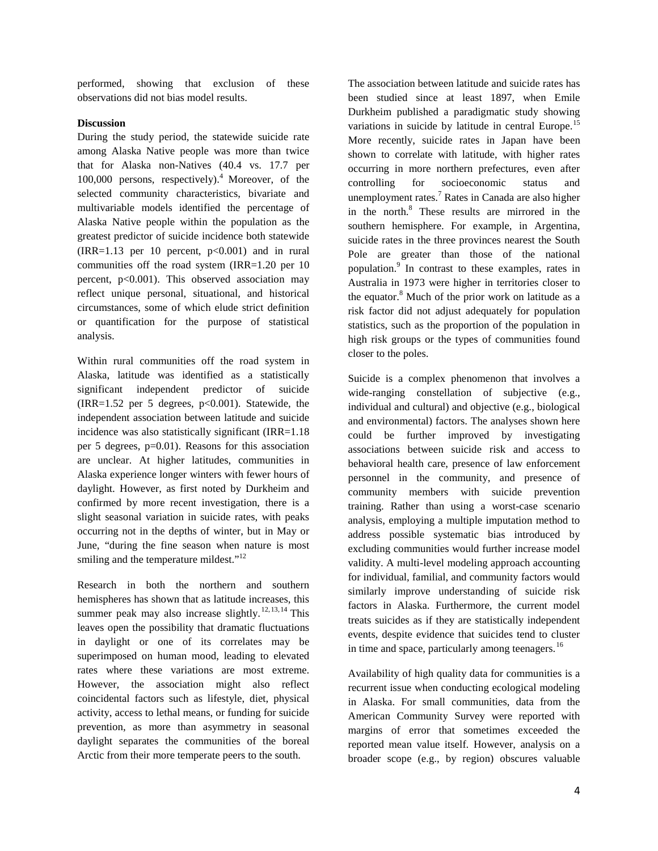performed, showing that exclusion of these observations did not bias model results.

# **Discussion**

During the study period, the statewide suicide rate among Alaska Native people was more than twice that for Alaska non-Natives (40.4 vs. 17.7 per 100,000 persons, respectively).<sup>4</sup> Moreover, of the selected community characteristics, bivariate and multivariable models identified the percentage of Alaska Native people within the population as the greatest predictor of suicide incidence both statewide  $(IRR=1.13$  per 10 percent,  $p<0.001$  and in rural communities off the road system (IRR=1.20 per 10 percent, p<0.001). This observed association may reflect unique personal, situational, and historical circumstances, some of which elude strict definition or quantification for the purpose of statistical analysis.

Within rural communities off the road system in Alaska, latitude was identified as a statistically significant independent predictor of suicide  $\text{IRR}=1.52$  per 5 degrees,  $p<0.001$ ). Statewide, the independent association between latitude and suicide incidence was also statistically significant (IRR=1.18 per 5 degrees, p=0.01). Reasons for this association are unclear. At higher latitudes, communities in Alaska experience longer winters with fewer hours of daylight. However, as first noted by Durkheim and confirmed by more recent investigation, there is a slight seasonal variation in suicide rates, with peaks occurring not in the depths of winter, but in May or June, "during the fine season when nature is most smiling and the temperature mildest."<sup>12</sup>

Research in both the northern and southern hemispheres has shown that as latitude increases, this summer peak may also increase slightly.<sup>[12,](#page-5-11)[13,](#page-5-12)[14](#page-5-13)</sup> This leaves open the possibility that dramatic fluctuations in daylight or one of its correlates may be superimposed on human mood, leading to elevated rates where these variations are most extreme. However, the association might also reflect coincidental factors such as lifestyle, diet, physical activity, access to lethal means, or funding for suicide prevention, as more than asymmetry in seasonal daylight separates the communities of the boreal Arctic from their more temperate peers to the south.

The association between latitude and suicide rates has been studied since at least 1897, when Emile Durkheim published a paradigmatic study showing variations in suicide by latitude in central Europe.<sup>[15](#page-5-14)</sup> More recently, suicide rates in Japan have been shown to correlate with latitude, with higher rates occurring in more northern prefectures, even after controlling for socioeconomic status and unemployment rates.<sup>7</sup> Rates in Canada are also higher in the north.<sup>8</sup> These results are mirrored in the southern hemisphere. For example, in Argentina, suicide rates in the three provinces nearest the South Pole are greater than those of the national population.<sup>9</sup> In contrast to these examples, rates in Australia in 1973 were higher in territories closer to the equator. $8$  Much of the prior work on latitude as a risk factor did not adjust adequately for population statistics, such as the proportion of the population in high risk groups or the types of communities found closer to the poles.

Suicide is a complex phenomenon that involves a wide-ranging constellation of subjective (e.g., individual and cultural) and objective (e.g., biological and environmental) factors. The analyses shown here could be further improved by investigating associations between suicide risk and access to behavioral health care, presence of law enforcement personnel in the community, and presence of community members with suicide prevention training. Rather than using a worst-case scenario analysis, employing a multiple imputation method to address possible systematic bias introduced by excluding communities would further increase model validity. A multi-level modeling approach accounting for individual, familial, and community factors would similarly improve understanding of suicide risk factors in Alaska. Furthermore, the current model treats suicides as if they are statistically independent events, despite evidence that suicides tend to cluster in time and space, particularly among teenagers.<sup>[16](#page-5-15)</sup>

Availability of high quality data for communities is a recurrent issue when conducting ecological modeling in Alaska. For small communities, data from the American Community Survey were reported with margins of error that sometimes exceeded the reported mean value itself. However, analysis on a broader scope (e.g., by region) obscures valuable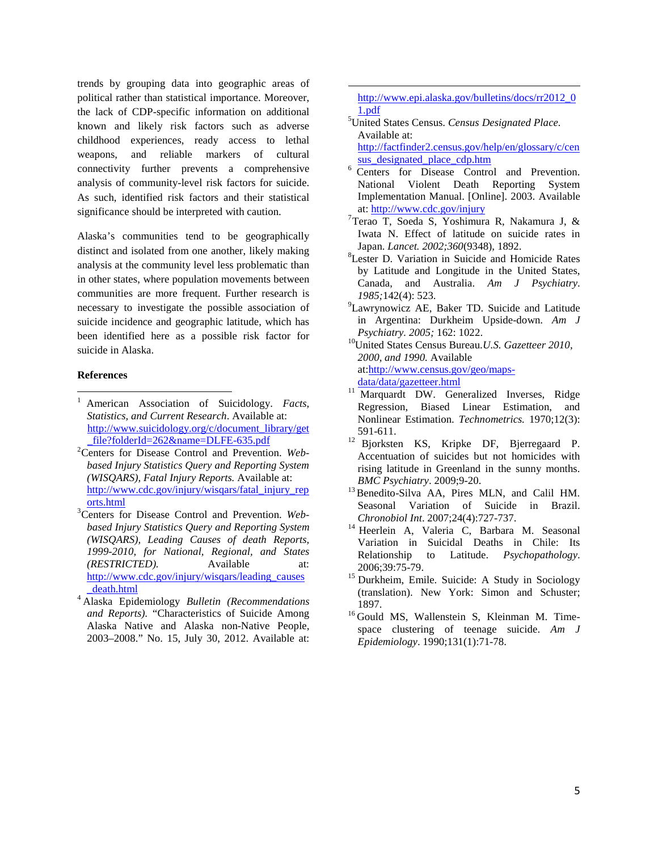trends by grouping data into geographic areas of political rather than statistical importance. Moreover, the lack of CDP-specific information on additional known and likely risk factors such as adverse childhood experiences, ready access to lethal weapons, and reliable markers of cultural connectivity further prevents a comprehensive analysis of community-level risk factors for suicide. As such, identified risk factors and their statistical significance should be interpreted with caution.

Alaska's communities tend to be geographically distinct and isolated from one another, likely making analysis at the community level less problematic than in other states, where population movements between communities are more frequent. Further research is necessary to investigate the possible association of suicide incidence and geographic latitude, which has been identified here as a possible risk factor for suicide in Alaska.

#### **References**

l

- <sup>1</sup> American Association of Suicidology. *Facts, Statistics, and Current Research*. Available at: [http://www.suicidology.org/c/document\\_library/get](http://www.suicidology.org/c/document_library/get_file?folderId=262&name=DLFE-635.pdf) file?folderId=262&name=DLFE-635.pdf
- Centers for Disease Control and Prevention. *Webbased Injury Statistics Query and Reporting System (WISQARS), Fatal Injury Reports.* Available at: [http://www.cdc.gov/injury/wisqars/fatal\\_injury\\_rep](http://www.cdc.gov/injury/wisqars/fatal_injury_reports.html)
- [orts.html](http://www.cdc.gov/injury/wisqars/fatal_injury_reports.html) <sup>3</sup> Centers for Disease Control and Prevention. *Webbased Injury Statistics Query and Reporting System (WISQARS), Leading Causes of death Reports, 1999-2010, for National, Regional, and States (RESTRICTED).* Available at: [http://www.cdc.gov/injury/wisqars/leading\\_causes](http://www.cdc.gov/injury/wisqars/leading_causes_death.html) [\\_death.html](http://www.cdc.gov/injury/wisqars/leading_causes_death.html) <sup>4</sup> Alaska Epidemiology *Bulletin (Recommendations*
- *and Reports)*. "Characteristics of Suicide Among Alaska Native and Alaska non-Native People, 2003–2008." No. 15, July 30, 2012. Available at:

[http://www.epi.alaska.gov/bulletins/docs/rr2012\\_0](http://www.epi.alaska.gov/bulletins/docs/rr2012_01.pdf)  $1.pdf$ 

United States Census. *Census Designated Place.* Available at: [http://factfinder2.census.gov/help/en/glossary/c/cen](http://factfinder2.census.gov/help/en/glossary/c/census_designated_place_cdp.htm)

 $\overline{\phantom{a}}$ 

- [sus\\_designated\\_place\\_cdp.htm](http://factfinder2.census.gov/help/en/glossary/c/census_designated_place_cdp.htm) <sup>6</sup> Centers for Disease Control and Prevention. National Violent Death Reporting System Implementation Manual. [Online]. 2003. Available at:<http://www.cdc.gov/injury> <sup>7</sup>
- $7$ Terao T, Soeda S, Yoshimura R, Nakamura J, & Iwata N. Effect of latitude on suicide rates in Japan. *Lancet. 2002;360*(9348), 1892. <sup>8</sup>
- <sup>8</sup>Lester D. Variation in Suicide and Homicide Rates by Latitude and Longitude in the United States, Canada, and Australia. *Am J Psychiatry*. *1985;*142(4): 523. <sup>9</sup>
- <sup>9</sup>Lawrynowicz AE, Baker TD. Suicide and Latitude in Argentina: Durkheim Upside-down. *Am J Psychiatry. 2005; 162: 1022.* <sup>10</sup>United States Census Bureau.*U.S. Gazetteer 2010*,
- *2000, and 1990.* Available at[:http://www.census.gov/geo/maps-](http://www.census.gov/geo/maps-data/data/gazetteer.html)
- <sup>11</sup> Marquardt DW. Generalized Inverses, Ridge Regression, Biased Linear Estimation, and Nonlinear Estimation. *Technometrics.* 1970;12(3): 591-611.<br><sup>12</sup> Bjorksten KS, Kripke DF, Bjerregaard P.
- Accentuation of suicides but not homicides with rising latitude in Greenland in the sunny months.
- *BMC Psychiatry*. 2009;9-20.<br><sup>13</sup> Benedito-Silva AA, Pires MLN, and Calil HM. Seasonal Variation of Suicide in Brazil.
- *Chronobiol Int*. 2007;24(4):727-737. <sup>14</sup> Heerlein A, Valeria C, Barbara M. Seasonal Variation in Suicidal Deaths in Chile: Its Relationship to Latitude. *Psychopathology*.
- 2006;39:75-79. <sup>15</sup> Durkheim, Emile. Suicide: A Study in Sociology (translation). New York: Simon and Schuster;
- 1897.<br><sup>16</sup> Gould MS, Wallenstein S, Kleinman M. Timespace clustering of teenage suicide. *Am J Epidemiology*. 1990;131(1):71-78.